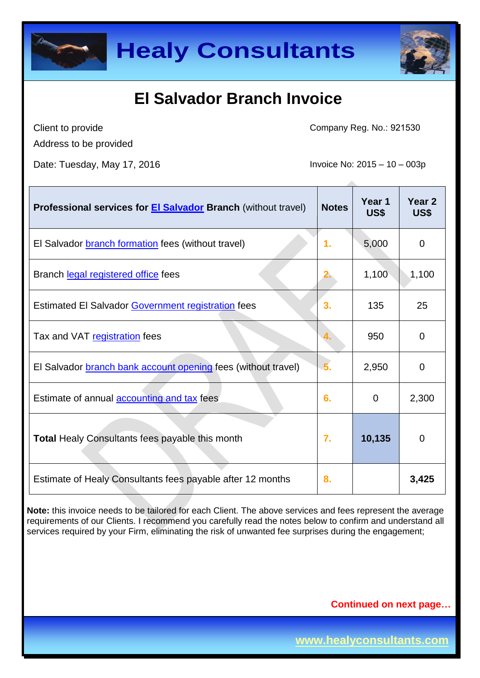



Client to provide Address to be provided Company Reg. No.: 921530

Date: Tuesday, May 17, 2016 **Invoice No: 2015** - 10 – 003p

| Professional services for <b>El Salvador</b> Branch (without travel) | <b>Notes</b> | Year 1<br>US\$ | Year <sub>2</sub><br>US\$ |
|----------------------------------------------------------------------|--------------|----------------|---------------------------|
| El Salvador <b>branch formation</b> fees (without travel)            | 1.           | 5,000          | $\mathbf 0$               |
| Branch legal registered office fees                                  |              | 1,100          | 1,100                     |
| Estimated El Salvador Government registration fees                   | 3.           | 135            | 25                        |
| Tax and VAT registration fees                                        |              | 950            | $\mathbf 0$               |
| El Salvador branch bank account opening fees (without travel)        | 5.           | 2,950          | $\mathbf 0$               |
| Estimate of annual accounting and tax fees                           | 6.           | $\overline{0}$ | 2,300                     |
| Total Healy Consultants fees payable this month                      | 7.           | 10,135         | $\mathbf 0$               |
| Estimate of Healy Consultants fees payable after 12 months           | 8.           |                | 3,425                     |

**Note:** this invoice needs to be tailored for each Client. The above services and fees represent the average requirements of our Clients. I recommend you carefully read the notes below to confirm and understand all services required by your Firm, eliminating the risk of unwanted fee surprises during the engagement;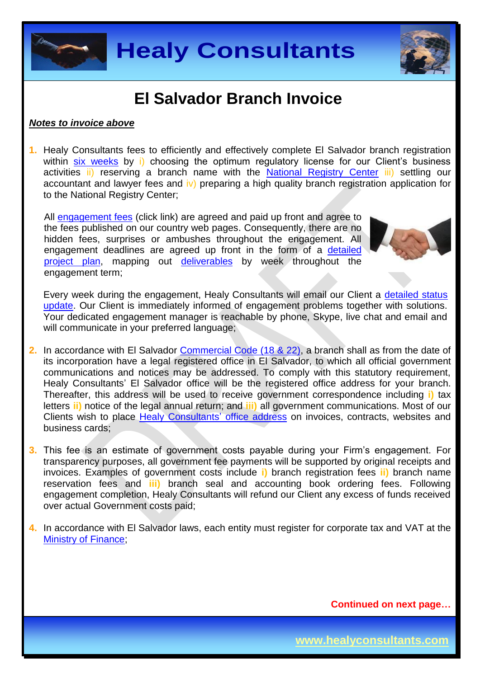



#### *Notes to invoice above*

**1.** Healy Consultants fees to efficiently and effectively complete El Salvador branch registration within six [weeks](http://www.healyconsultants.com/el-salvador-company-registration/fees-timelines/#timelines) by i) choosing the optimum regulatory license for our Client's business activities ii) reserving a branch name with the [National Registry Center](http://elsalvador.eregulations.org/procedure/5/5/step/3?l=es) iii) settling our accountant and lawyer fees and  $|v\rangle$  preparing a high quality branch registration application for to the National Registry Center;

All [engagement fees](http://www.healyconsultants.com/company-registration-fees/) (click link) are agreed and paid up front and agree to the fees published on our country web pages. Consequently, there are no hidden fees, surprises or ambushes throughout the engagement. All engagement deadlines are agreed up front in the form of a [detailed](http://www.healyconsultants.com/index-important-links/example-project-plan/)  [project plan,](http://www.healyconsultants.com/index-important-links/example-project-plan/) mapping out [deliverables](http://www.healyconsultants.com/deliverables-to-our-clients/) by week throughout the engagement term;



Every week during the engagement, Healy Consultants will email our Client a [detailed status](http://www.healyconsultants.com/index-important-links/weekly-engagement-status-email/)  [update.](http://www.healyconsultants.com/index-important-links/weekly-engagement-status-email/) Our Client is immediately informed of engagement problems together with solutions. Your dedicated engagement manager is reachable by phone, Skype, live chat and email and will communicate in your preferred language;

- **2.** In accordance with El Salvador [Commercial Code \(18 & 22\),](http://elsalvador.eregulations.org/media/codigo%20de%20comercio_3.pdf) a branch shall as from the date of its incorporation have a legal registered office in El Salvador, to which all official government communications and notices may be addressed. To comply with this statutory requirement, Healy Consultants' El Salvador office will be the registered office address for your branch. Thereafter, this address will be used to receive government correspondence including **i)** tax letters **ii)** notice of the legal annual return; and **iii)** all government communications. Most of our Clients wish to place [Healy Consultants'](http://www.healyconsultants.com/corporate-outsourcing-services/company-secretary-and-legal-registered-office/) office address on invoices, contracts, websites and business cards;
- **3.** This fee is an estimate of government costs payable during your Firm's engagement. For transparency purposes, all government fee payments will be supported by original receipts and invoices. Examples of government costs include **i)** branch registration fees **ii)** branch name reservation fees and **iii)** branch seal and accounting book ordering fees. Following engagement completion, Healy Consultants will refund our Client any excess of funds received over actual Government costs paid;
- **4.** In accordance with El Salvador laws, each entity must register for corporate tax and VAT at the [Ministry of Finance;](http://www.mh.gob.sv/portal/page/portal/PMH)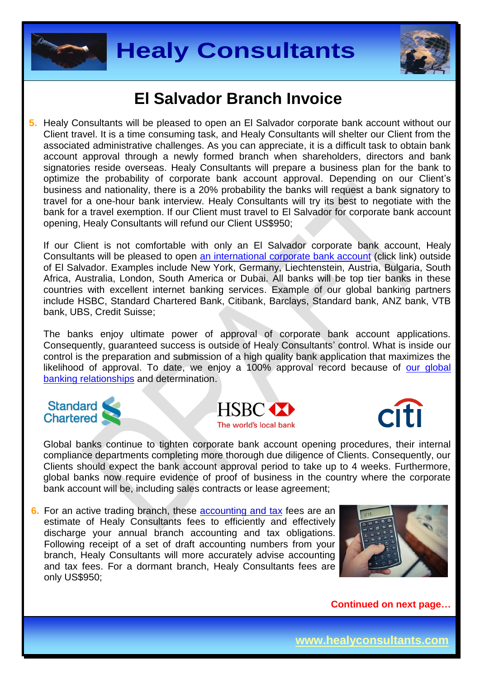



**5.** Healy Consultants will be pleased to open an El Salvador corporate bank account without our Client travel. It is a time consuming task, and Healy Consultants will shelter our Client from the associated administrative challenges. As you can appreciate, it is a difficult task to obtain bank account approval through a newly formed branch when shareholders, directors and bank signatories reside overseas. Healy Consultants will prepare a business plan for the bank to optimize the probability of corporate bank account approval. Depending on our Client's business and nationality, there is a 20% probability the banks will request a bank signatory to travel for a one-hour bank interview. Healy Consultants will try its best to negotiate with the bank for a travel exemption. If our Client must travel to El Salvador for corporate bank account opening, Healy Consultants will refund our Client US\$950;

If our Client is not comfortable with only an El Salvador corporate bank account, Healy Consultants will be pleased to open [an international corporate bank account](http://www.healyconsultants.com/international-banking/) (click link) outside of El Salvador. Examples include New York, Germany, Liechtenstein, Austria, Bulgaria, South Africa, Australia, London, South America or Dubai. All banks will be top tier banks in these countries with excellent internet banking services. Example of our global banking partners include HSBC, Standard Chartered Bank, Citibank, Barclays, Standard bank, ANZ bank, VTB bank, UBS, Credit Suisse;

The banks enjoy ultimate power of approval of corporate bank account applications. Consequently, guaranteed success is outside of Healy Consultants' control. What is inside our control is the preparation and submission of a high quality bank application that maximizes the likelihood of approval. To date, we enjoy a 100% approval record because of our global [banking relationships](http://www.healyconsultants.com/international-banking/corporate-accounts/) and determination.







Global banks continue to tighten corporate bank account opening procedures, their internal compliance departments completing more thorough due diligence of Clients. Consequently, our Clients should expect the bank account approval period to take up to 4 weeks. Furthermore, global banks now require evidence of proof of business in the country where the corporate bank account will be, including sales contracts or lease agreement;

**6.** For an active trading branch, these accounting and tax fees are an estimate of Healy Consultants fees to efficiently and effectively discharge your annual branch accounting and tax obligations. Following receipt of a set of draft accounting numbers from your branch, Healy Consultants will more accurately advise accounting and tax fees. For a dormant branch, Healy Consultants fees are only US\$950;

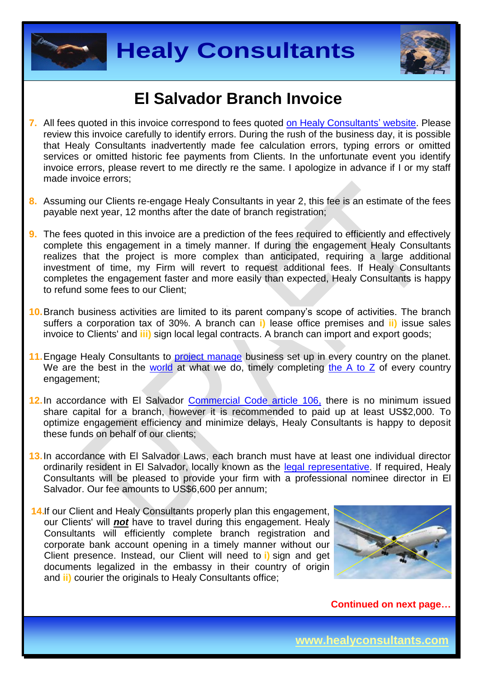



- **7.** All fees quoted in this invoice correspond to fees quoted [on Healy Consultants'](http://www.healyconsultants.com/company-registration-fees/) website. Please review this invoice carefully to identify errors. During the rush of the business day, it is possible that Healy Consultants inadvertently made fee calculation errors, typing errors or omitted services or omitted historic fee payments from Clients. In the unfortunate event you identify invoice errors, please revert to me directly re the same. I apologize in advance if I or my staff made invoice errors;
- **8.** Assuming our Clients re-engage Healy Consultants in year 2, this fee is an estimate of the fees payable next year, 12 months after the date of branch registration;
- **9.** The fees quoted in this invoice are a prediction of the fees required to efficiently and effectively complete this engagement in a timely manner. If during the engagement Healy Consultants realizes that the project is more complex than anticipated, requiring a large additional investment of time, my Firm will revert to request additional fees. If Healy Consultants completes the engagement faster and more easily than expected, Healy Consultants is happy to refund some fees to our Client;
- **10.**Branch business activities are limited to its parent company's scope of activities. The branch suffers a corporation tax of 30%. A branch can **i)** lease office premises and **ii)** issue sales invoice to Clients' and **iii)** sign local legal contracts. A branch can import and export goods;
- 11. Engage Healy Consultants to [project manage](http://www.healyconsultants.com/project-manage-engagements/) business set up in every country on the planet. We are the best in the [world](http://www.healyconsultants.com/best-in-the-world/) at what we do, timely completing [the A to Z](http://www.healyconsultants.com/a-to-z-of-business-set-up/) of every country engagement;
- **12.**In accordance with El Salvador [Commercial Code article 106,](http://elsalvador.eregulations.org/procedure/5/5/step/4?l=es) there is no minimum issued share capital for a branch, however it is recommended to paid up at least US\$2,000. To optimize engagement efficiency and minimize delays, Healy Consultants is happy to deposit these funds on behalf of our clients;
- **13.**In accordance with El Salvador Laws, each branch must have at least one individual director ordinarily resident in El Salvador, locally known as the [legal representative.](http://www.healyconsultants.com/resident-director-services/legal-representative-south-american-companies/) If required, Healy Consultants will be pleased to provide your firm with a professional nominee director in El Salvador. Our fee amounts to US\$6,600 per annum;
- **14.**If our Client and Healy Consultants properly plan this engagement, our Clients' will *not* have to travel during this engagement. Healy Consultants will efficiently complete branch registration and corporate bank account opening in a timely manner without our Client presence. Instead, our Client will need to **i)** sign and get documents legalized in the embassy in their country of origin and **ii)** courier the originals to Healy Consultants office:



**Continued on next page…**

**www.healyconsultants.com**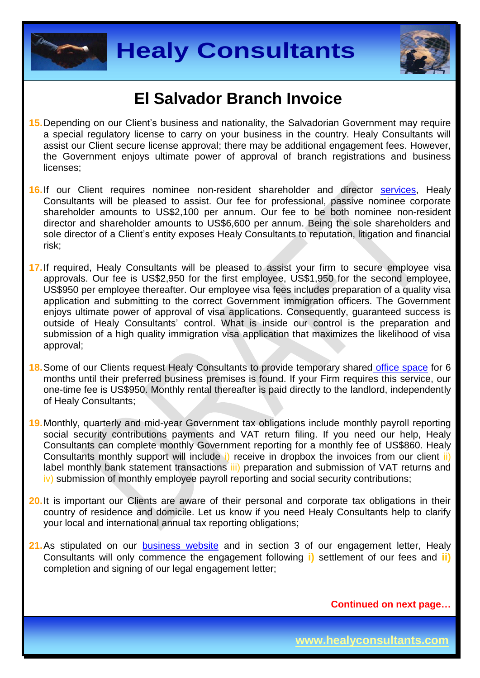



- **15.**Depending on our Client's business and nationality, the Salvadorian Government may require a special regulatory license to carry on your business in the country. Healy Consultants will assist our Client secure license approval; there may be additional engagement fees. However, the Government enjoys ultimate power of approval of branch registrations and business licenses;
- **16.**If our Client requires nominee non-resident shareholder and director [services,](http://www.healyconsultants.com/corporate-outsourcing-services/nominee-shareholders-directors/) Healy Consultants will be pleased to assist. Our fee for professional, passive nominee corporate shareholder amounts to US\$2,100 per annum. Our fee to be both nominee non-resident director and shareholder amounts to US\$6,600 per annum. Being the sole shareholders and sole director of a Client's entity exposes Healy Consultants to reputation, litigation and financial risk;
- **17.**If required, Healy Consultants will be pleased to assist your firm to secure employee visa approvals. Our fee is US\$2,950 for the first employee, US\$1,950 for the second employee, US\$950 per employee thereafter. Our employee visa fees includes preparation of a quality visa application and submitting to the correct Government immigration officers. The Government enjoys ultimate power of approval of visa applications. Consequently, guaranteed success is outside of Healy Consultants' control. What is inside our control is the preparation and submission of a high quality immigration visa application that maximizes the likelihood of visa approval;
- **18.**Some of our Clients request Healy Consultants to provide temporary shared [office space](http://www.healyconsultants.com/virtual-office/) for 6 months until their preferred business premises is found. If your Firm requires this service, our one-time fee is US\$950. Monthly rental thereafter is paid directly to the landlord, independently of Healy Consultants;
- **19.**Monthly, quarterly and mid-year Government tax obligations include monthly payroll reporting social security contributions payments and VAT return filing. If you need our help, Healy Consultants can complete monthly Government reporting for a monthly fee of US\$860. Healy Consultants monthly support will include i) receive in dropbox the invoices from our client ii) label monthly bank statement transactions iii) preparation and submission of VAT returns and iv) submission of monthly employee payroll reporting and social security contributions;
- **20.**It is important our Clients are aware of their personal and corporate tax obligations in their country of residence and domicile. Let us know if you need Healy Consultants help to clarify your local and international annual tax reporting obligations;
- 21. As stipulated on our [business website](http://www.healyconsultants.com/) and in section 3 of our engagement letter, Healy Consultants will only commence the engagement following **i)** settlement of our fees and **ii)** completion and signing of our legal engagement letter;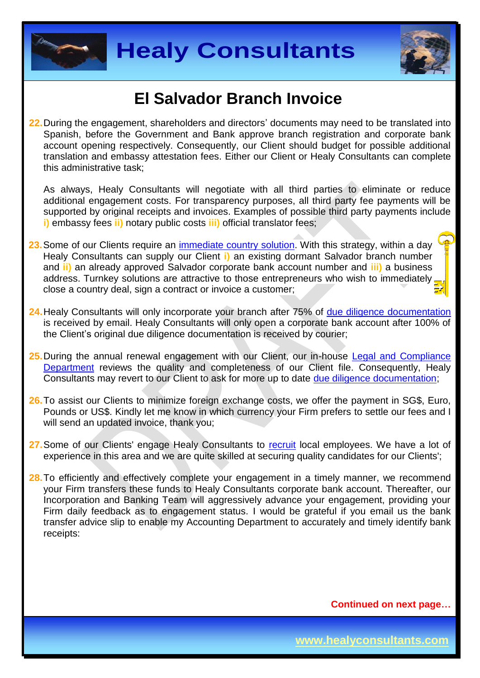



**22.**During the engagement, shareholders and directors' documents may need to be translated into Spanish, before the Government and Bank approve branch registration and corporate bank account opening respectively. Consequently, our Client should budget for possible additional translation and embassy attestation fees. Either our Client or Healy Consultants can complete this administrative task;

As always, Healy Consultants will negotiate with all third parties to eliminate or reduce additional engagement costs. For transparency purposes, all third party fee payments will be supported by original receipts and invoices. Examples of possible third party payments include **i)** embassy fees **ii)** notary public costs **iii)** official translator fees;

- **23.**Some of our Clients require an [immediate country](http://www.healyconsultants.com/turnkey-solutions/) solution. With this strategy, within a day Healy Consultants can supply our Client **i)** an existing dormant Salvador branch number and **ii)** an already approved Salvador corporate bank account number and **iii)** a business address. Turnkey solutions are attractive to those entrepreneurs who wish to immediately, close a country deal, sign a contract or invoice a customer;
- 24. Healy Consultants will only incorporate your branch after 75% of [due diligence documentation](http://www.healyconsultants.com/due-diligence/) is received by email. Healy Consultants will only open a corporate bank account after 100% of the Client's original due diligence documentation is received by courier;
- 25. During the annual renewal engagement with our Client, our in-house [Legal and Compliance](http://www.healyconsultants.com/about-us/key-personnel/cai-xin-profile/) [Department](http://www.healyconsultants.com/about-us/key-personnel/cai-xin-profile/) reviews the quality and completeness of our Client file. Consequently, Healy Consultants may revert to our Client to ask for more up to date [due diligence documentation;](http://www.healyconsultants.com/due-diligence/)
- **26.**To assist our Clients to minimize foreign exchange costs, we offer the payment in SG\$, Euro, Pounds or US\$. Kindly let me know in which currency your Firm prefers to settle our fees and I will send an updated invoice, thank you;
- **27.**Some of our Clients' engage Healy Consultants to [recruit](http://www.healyconsultants.com/corporate-outsourcing-services/how-we-help-our-clients-recruit-quality-employees/) local employees. We have a lot of experience in this area and we are quite skilled at securing quality candidates for our Clients';
- 28. To efficiently and effectively complete your engagement in a timely manner, we recommend your Firm transfers these funds to Healy Consultants corporate bank account. Thereafter, our Incorporation and Banking Team will aggressively advance your engagement, providing your Firm daily feedback as to engagement status. I would be grateful if you email us the bank transfer advice slip to enable my Accounting Department to accurately and timely identify bank receipts: